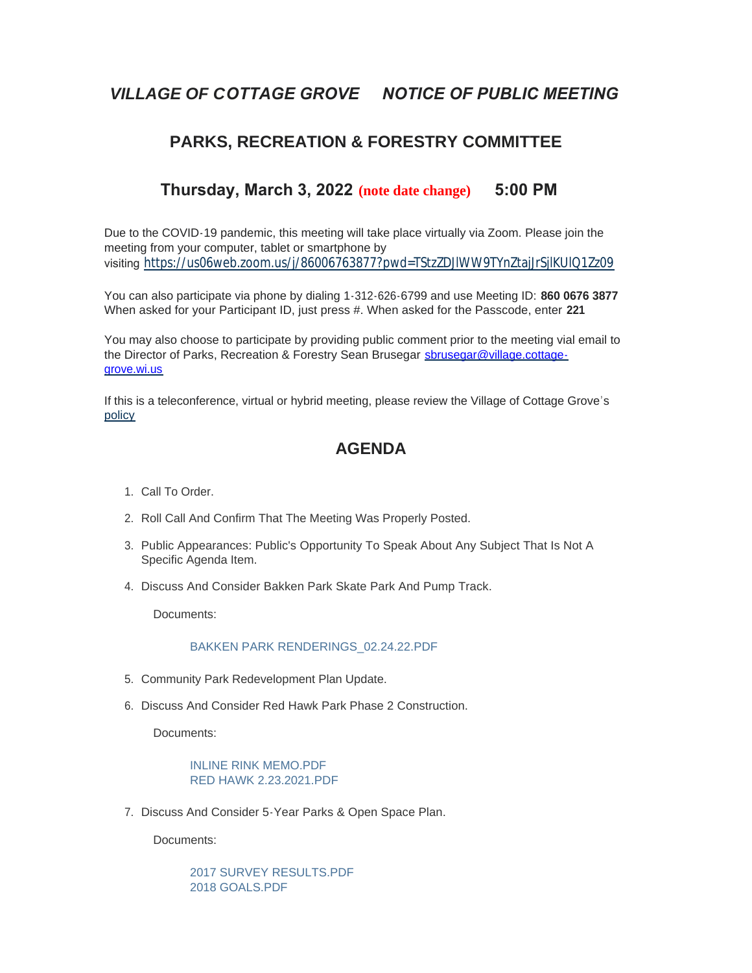# *VILLAGE OF COTTAGE GROVE NOTICE OF PUBLIC MEETING*

### **PARKS, RECREATION & FORESTRY COMMITTEE**

### **Thursday, March 3, 2022 (note date change) 5:00 PM**

Due to the COVID-19 pandemic, this meeting will take place virtually via Zoom. Please join the meeting from your computer, tablet or smartphone by visiting <https://us06web.zoom.us/j/86006763877?pwd=TStzZDJlWW9TYnZtajJrSjlKUlQ1Zz09>

You can also participate via phone by dialing 1-312-626-6799 and use Meeting ID: **860 0676 3877** When asked for your Participant ID, just press #. When asked for the Passcode, enter **221**

You may also choose to participate by providing public comment prior to the meeting vial email to the Director of Parks, Recreation & Forestry Sean Brusegar sbrusegar@village.cottagegrove.wi.us

[If this](https://www.vi.cottagegrove.wi.gov/DocumentCenter/View/1850/Virtual-Hybrid-Tele-meeting-Policy-Final) is a teleconference, virtual or hybrid meeting, please review the Village of Cottage Grove's policy

## **AGENDA**

- 1. Call To Order.
- 2. Roll Call And Confirm That The Meeting Was Properly Posted.
- 3. Public Appearances: Public's Opportunity To Speak About Any Subject That Is Not A Specific Agenda Item.
- 4. Discuss And Consider Bakken Park Skate Park And Pump Track.

Documents:

#### [BAKKEN PARK RENDERINGS\\_02.24.22.PDF](https://www.vi.cottagegrove.wi.gov/AgendaCenter/ViewFile/Item/9621?fileID=19141)

- 5. Community Park Redevelopment Plan Update.
- 6. Discuss And Consider Red Hawk Park Phase 2 Construction.

Documents:

[INLINE RINK MEMO.PDF](https://www.vi.cottagegrove.wi.gov/AgendaCenter/ViewFile/Item/9626?fileID=19147) [RED HAWK 2.23.2021.PDF](https://www.vi.cottagegrove.wi.gov/AgendaCenter/ViewFile/Item/9626?fileID=19148)

7. Discuss And Consider 5-Year Parks & Open Space Plan.

Documents:

[2017 SURVEY RESULTS.PDF](https://www.vi.cottagegrove.wi.gov/AgendaCenter/ViewFile/Item/9624?fileID=19144) [2018 GOALS.PDF](https://www.vi.cottagegrove.wi.gov/AgendaCenter/ViewFile/Item/9624?fileID=19145)